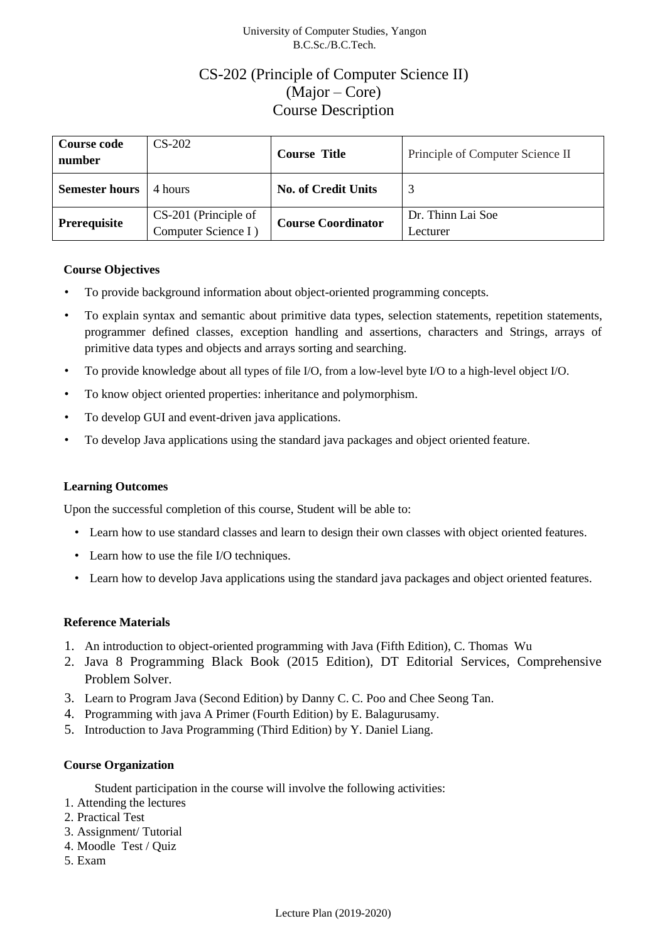### University of Computer Studies, Yangon B.C.Sc./B.C.Tech.

# CS-202 (Principle of Computer Science II) (Major – Core) Course Description

| <b>Course code</b><br>number | $CS-202$                                    | <b>Course Title</b>        | Principle of Computer Science II |
|------------------------------|---------------------------------------------|----------------------------|----------------------------------|
| <b>Semester hours</b>        | 4 hours                                     | <b>No. of Credit Units</b> |                                  |
| Prerequisite                 | CS-201 (Principle of<br>Computer Science I) | <b>Course Coordinator</b>  | Dr. Thinn Lai Soe<br>Lecturer    |

### **Course Objectives**

- To provide background information about object-oriented programming concepts.
- To explain syntax and semantic about primitive data types, selection statements, repetition statements, programmer defined classes, exception handling and assertions, characters and Strings, arrays of primitive data types and objects and arrays sorting and searching.
- To provide knowledge about all types of file I/O, from a low-level byte I/O to a high-level object I/O.
- To know object oriented properties: inheritance and polymorphism.
- To develop GUI and event-driven java applications.
- To develop Java applications using the standard java packages and object oriented feature.

#### **Learning Outcomes**

Upon the successful completion of this course, Student will be able to:

- Learn how to use standard classes and learn to design their own classes with object oriented features.
- Learn how to use the file I/O techniques.
- Learn how to develop Java applications using the standard java packages and object oriented features.

#### **Reference Materials**

- 1. An introduction to object-oriented programming with Java (Fifth Edition), C. Thomas Wu
- 2. Java 8 Programming Black Book (2015 Edition), DT Editorial Services, Comprehensive Problem Solver.
- 3. Learn to Program Java (Second Edition) by Danny C. C. Poo and Chee Seong Tan.
- 4. Programming with java A Primer (Fourth Edition) by E. Balagurusamy.
- 5. Introduction to Java Programming (Third Edition) by Y. Daniel Liang.

### **Course Organization**

Student participation in the course will involve the following activities:

- 1. Attending the lectures
- 2. Practical Test
- 3. Assignment/ Tutorial
- 4. Moodle Test / Quiz
- 5. Exam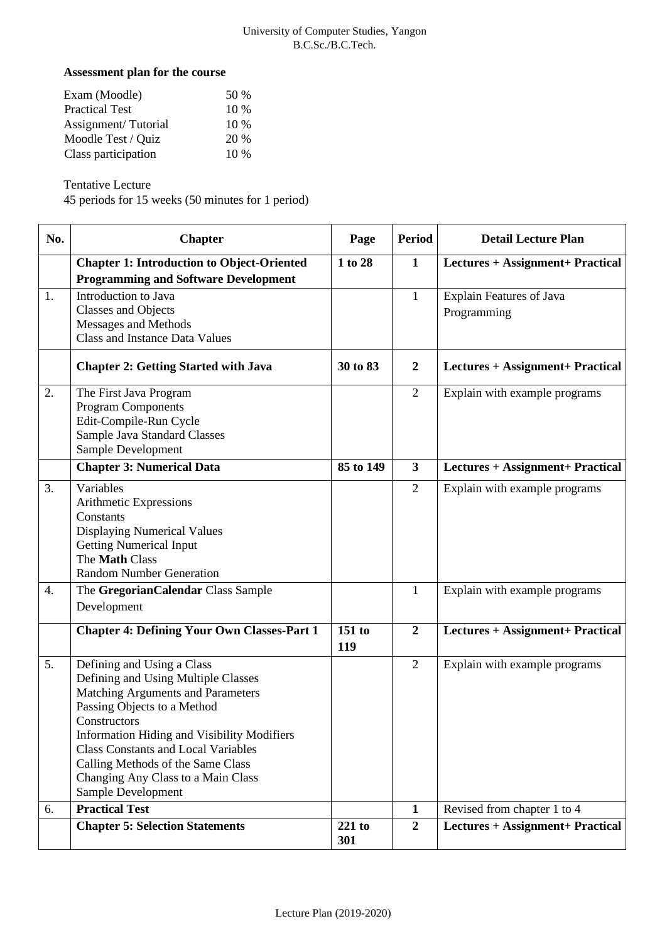#### University of Computer Studies, Yangon B.C.Sc./B.C.Tech.

### **Assessment plan for the course**

| Exam (Moodle)         | .50 %  |
|-----------------------|--------|
| <b>Practical Test</b> | $10\%$ |
| Assignment/Tutorial   | $10\%$ |
| Moodle Test / Quiz    | 20 %   |
| Class participation   | $10\%$ |

Tentative Lecture

45 periods for 15 weeks (50 minutes for 1 period)

| No. | <b>Chapter</b>                                                                                                                                                                                                                                                                                                                                             | Page          | Period                  | <b>Detail Lecture Plan</b>                     |
|-----|------------------------------------------------------------------------------------------------------------------------------------------------------------------------------------------------------------------------------------------------------------------------------------------------------------------------------------------------------------|---------------|-------------------------|------------------------------------------------|
|     | <b>Chapter 1: Introduction to Object-Oriented</b><br><b>Programming and Software Development</b>                                                                                                                                                                                                                                                           | 1 to 28       | $\mathbf{1}$            | Lectures + Assignment+ Practical               |
| 1.  | Introduction to Java<br><b>Classes and Objects</b><br>Messages and Methods<br><b>Class and Instance Data Values</b>                                                                                                                                                                                                                                        |               | $\mathbf{1}$            | <b>Explain Features of Java</b><br>Programming |
|     | <b>Chapter 2: Getting Started with Java</b>                                                                                                                                                                                                                                                                                                                | 30 to 83      | $\boldsymbol{2}$        | Lectures + Assignment+ Practical               |
| 2.  | The First Java Program<br><b>Program Components</b><br>Edit-Compile-Run Cycle<br>Sample Java Standard Classes<br>Sample Development                                                                                                                                                                                                                        |               | $\overline{2}$          | Explain with example programs                  |
|     | <b>Chapter 3: Numerical Data</b>                                                                                                                                                                                                                                                                                                                           | 85 to 149     | $\overline{\mathbf{3}}$ | Lectures + Assignment+ Practical               |
| 3.  | Variables<br>Arithmetic Expressions<br>Constants<br><b>Displaying Numerical Values</b><br><b>Getting Numerical Input</b><br>The Math Class<br><b>Random Number Generation</b>                                                                                                                                                                              |               | $\overline{2}$          | Explain with example programs                  |
| 4.  | The GregorianCalendar Class Sample<br>Development                                                                                                                                                                                                                                                                                                          |               | $\mathbf{1}$            | Explain with example programs                  |
|     | <b>Chapter 4: Defining Your Own Classes-Part 1</b>                                                                                                                                                                                                                                                                                                         | 151 to<br>119 | $\boldsymbol{2}$        | Lectures + Assignment+ Practical               |
| 5.  | Defining and Using a Class<br>Defining and Using Multiple Classes<br>Matching Arguments and Parameters<br>Passing Objects to a Method<br>Constructors<br><b>Information Hiding and Visibility Modifiers</b><br><b>Class Constants and Local Variables</b><br>Calling Methods of the Same Class<br>Changing Any Class to a Main Class<br>Sample Development |               | $\overline{2}$          | Explain with example programs                  |
| 6.  | <b>Practical Test</b>                                                                                                                                                                                                                                                                                                                                      |               | $\mathbf{1}$            | Revised from chapter 1 to 4                    |
|     | <b>Chapter 5: Selection Statements</b>                                                                                                                                                                                                                                                                                                                     | 221 to<br>301 | $\boldsymbol{2}$        | Lectures + Assignment+ Practical               |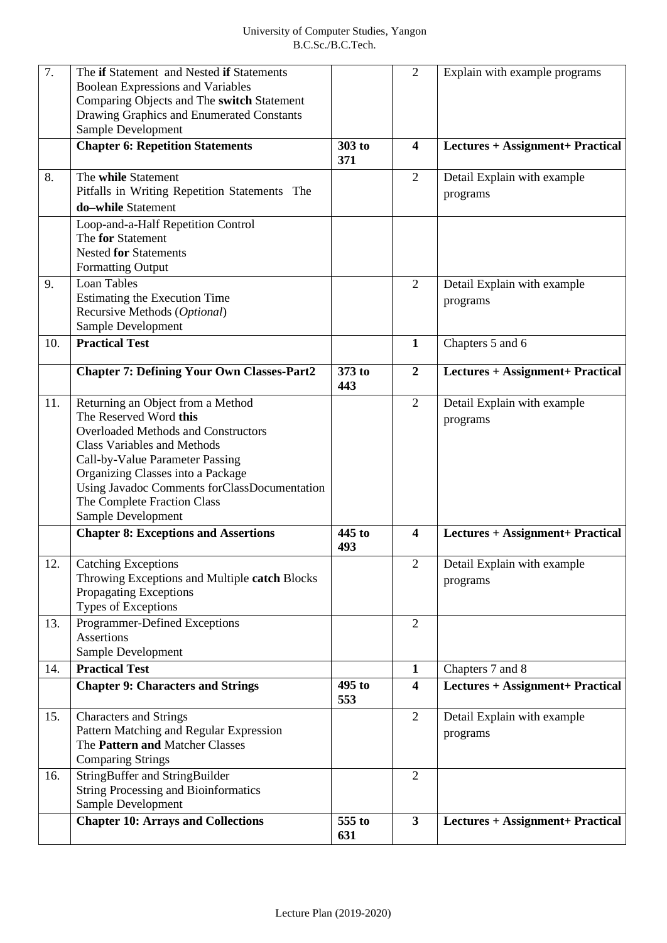| $\overline{7}$ . | The if Statement and Nested if Statements         |               | $\overline{2}$          | Explain with example programs    |
|------------------|---------------------------------------------------|---------------|-------------------------|----------------------------------|
|                  | <b>Boolean Expressions and Variables</b>          |               |                         |                                  |
|                  | Comparing Objects and The switch Statement        |               |                         |                                  |
|                  | Drawing Graphics and Enumerated Constants         |               |                         |                                  |
|                  | Sample Development                                |               |                         |                                  |
|                  | <b>Chapter 6: Repetition Statements</b>           | 303 to        | $\overline{\mathbf{4}}$ |                                  |
|                  |                                                   | 371           |                         | Lectures + Assignment+ Practical |
| 8.               | The while Statement                               |               | $\overline{2}$          | Detail Explain with example      |
|                  | Pitfalls in Writing Repetition Statements The     |               |                         | programs                         |
|                  | do-while Statement                                |               |                         |                                  |
|                  | Loop-and-a-Half Repetition Control                |               |                         |                                  |
|                  | The for Statement                                 |               |                         |                                  |
|                  | <b>Nested for Statements</b>                      |               |                         |                                  |
|                  | <b>Formatting Output</b>                          |               |                         |                                  |
| 9.               | <b>Loan Tables</b>                                |               | $\overline{2}$          | Detail Explain with example      |
|                  | Estimating the Execution Time                     |               |                         | programs                         |
|                  | Recursive Methods (Optional)                      |               |                         |                                  |
|                  | Sample Development                                |               |                         |                                  |
| 10.              | <b>Practical Test</b>                             |               | $\mathbf{1}$            | Chapters 5 and 6                 |
|                  | <b>Chapter 7: Defining Your Own Classes-Part2</b> | 373 to        | $\boldsymbol{2}$        | Lectures + Assignment+ Practical |
|                  |                                                   | 443           |                         |                                  |
| 11.              | Returning an Object from a Method                 |               | $\overline{2}$          | Detail Explain with example      |
|                  | The Reserved Word this                            |               |                         | programs                         |
|                  | <b>Overloaded Methods and Constructors</b>        |               |                         |                                  |
|                  | <b>Class Variables and Methods</b>                |               |                         |                                  |
|                  | Call-by-Value Parameter Passing                   |               |                         |                                  |
|                  | Organizing Classes into a Package                 |               |                         |                                  |
|                  | Using Javadoc Comments forClassDocumentation      |               |                         |                                  |
|                  | The Complete Fraction Class                       |               |                         |                                  |
|                  | Sample Development                                |               |                         |                                  |
|                  | <b>Chapter 8: Exceptions and Assertions</b>       | 445 to<br>493 | $\overline{\mathbf{4}}$ | Lectures + Assignment+ Practical |
| 12.              | <b>Catching Exceptions</b>                        |               | $\overline{2}$          | Detail Explain with example      |
|                  | Throwing Exceptions and Multiple catch Blocks     |               |                         | programs                         |
|                  | Propagating Exceptions                            |               |                         |                                  |
|                  | Types of Exceptions                               |               |                         |                                  |
| 13.              | Programmer-Defined Exceptions                     |               | $\overline{2}$          |                                  |
|                  | <b>Assertions</b>                                 |               |                         |                                  |
|                  | Sample Development                                |               |                         |                                  |
| 14.              | <b>Practical Test</b>                             |               | $\mathbf{1}$            | Chapters 7 and 8                 |
|                  | <b>Chapter 9: Characters and Strings</b>          | 495 to<br>553 | $\overline{\mathbf{4}}$ | Lectures + Assignment+ Practical |
| 15.              | <b>Characters and Strings</b>                     |               | 2                       | Detail Explain with example      |
|                  | Pattern Matching and Regular Expression           |               |                         | programs                         |
|                  | The Pattern and Matcher Classes                   |               |                         |                                  |
|                  | <b>Comparing Strings</b>                          |               |                         |                                  |
| 16.              | StringBuffer and StringBuilder                    |               | $\overline{2}$          |                                  |
|                  | <b>String Processing and Bioinformatics</b>       |               |                         |                                  |
|                  | Sample Development                                |               |                         |                                  |
|                  | <b>Chapter 10: Arrays and Collections</b>         | 555 to<br>631 | $\overline{\mathbf{3}}$ | Lectures + Assignment+ Practical |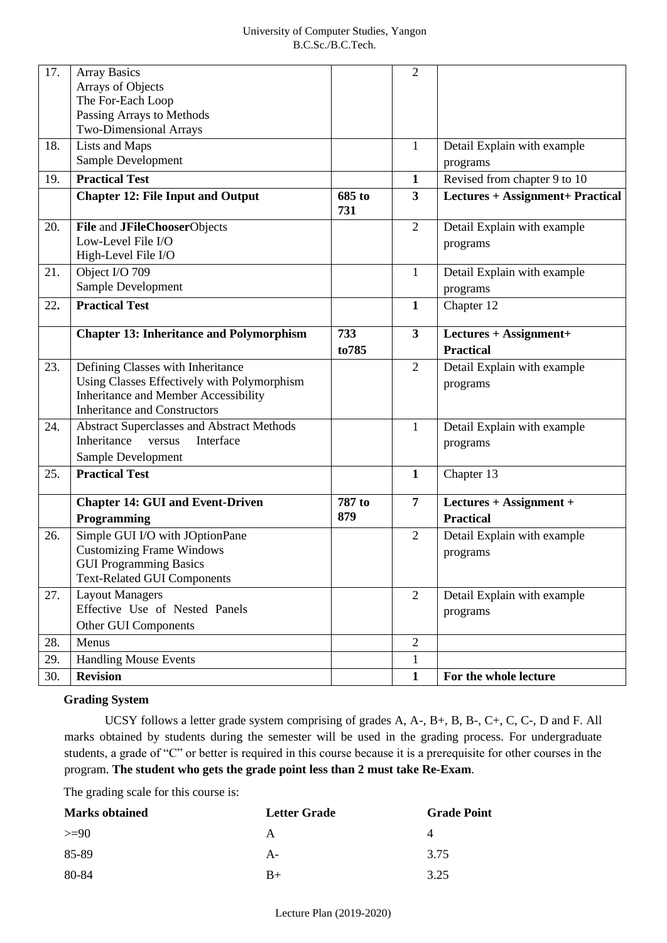| 17. | <b>Array Basics</b><br>Arrays of Objects<br>The For-Each Loop<br>Passing Arrays to Methods                                                                      |               | $\mathfrak{2}$          |                                             |
|-----|-----------------------------------------------------------------------------------------------------------------------------------------------------------------|---------------|-------------------------|---------------------------------------------|
|     | <b>Two-Dimensional Arrays</b>                                                                                                                                   |               |                         |                                             |
| 18. | Lists and Maps<br>Sample Development                                                                                                                            |               | $\mathbf{1}$            | Detail Explain with example<br>programs     |
| 19. | <b>Practical Test</b>                                                                                                                                           |               | $\mathbf{1}$            | Revised from chapter 9 to 10                |
|     | <b>Chapter 12: File Input and Output</b>                                                                                                                        | 685 to<br>731 | 3                       | Lectures + Assignment+ Practical            |
| 20. | File and JFileChooserObjects<br>Low-Level File I/O<br>High-Level File I/O                                                                                       |               | $\overline{2}$          | Detail Explain with example<br>programs     |
| 21. | Object I/O 709<br>Sample Development                                                                                                                            |               | $\mathbf{1}$            | Detail Explain with example<br>programs     |
| 22. | <b>Practical Test</b>                                                                                                                                           |               | $\mathbf{1}$            | Chapter 12                                  |
|     | <b>Chapter 13: Inheritance and Polymorphism</b>                                                                                                                 | 733<br>to785  | $\overline{\mathbf{3}}$ | Lectures + Assignment+<br><b>Practical</b>  |
| 23. | Defining Classes with Inheritance<br>Using Classes Effectively with Polymorphism<br>Inheritance and Member Accessibility<br><b>Inheritance and Constructors</b> |               | $\overline{2}$          | Detail Explain with example<br>programs     |
| 24. | <b>Abstract Superclasses and Abstract Methods</b><br>Inheritance<br>versus<br>Interface<br>Sample Development                                                   |               | $\mathbf{1}$            | Detail Explain with example<br>programs     |
| 25. | <b>Practical Test</b>                                                                                                                                           |               | $\mathbf{1}$            | Chapter 13                                  |
|     | <b>Chapter 14: GUI and Event-Driven</b><br>Programming                                                                                                          | 787 to<br>879 | 7                       | Lectures + Assignment +<br><b>Practical</b> |
| 26. | Simple GUI I/O with JOptionPane<br><b>Customizing Frame Windows</b><br><b>GUI Programming Basics</b><br><b>Text-Related GUI Components</b>                      |               | $\overline{2}$          | Detail Explain with example<br>programs     |
| 27. | <b>Layout Managers</b><br>Effective Use of Nested Panels<br>Other GUI Components                                                                                |               | $\overline{2}$          | Detail Explain with example<br>programs     |
| 28. | Menus                                                                                                                                                           |               | $\overline{2}$          |                                             |
| 29. | <b>Handling Mouse Events</b>                                                                                                                                    |               | $\mathbf{1}$            |                                             |
| 30. | <b>Revision</b>                                                                                                                                                 |               | $\mathbf{1}$            | For the whole lecture                       |

### **Grading System**

UCSY follows a letter grade system comprising of grades A, A-, B+, B, B-, C+, C, C-, D and F. All marks obtained by students during the semester will be used in the grading process. For undergraduate students, a grade of "C" or better is required in this course because it is a prerequisite for other courses in the program. **The student who gets the grade point less than 2 must take Re-Exam**.

The grading scale for this course is:

| <b>Marks obtained</b> | <b>Letter Grade</b> | <b>Grade Point</b> |
|-----------------------|---------------------|--------------------|
| $>=90$                | А                   | $\Delta$           |
| 85-89                 | A-                  | 3.75               |
| 80-84                 | $R+$                | 3.25               |